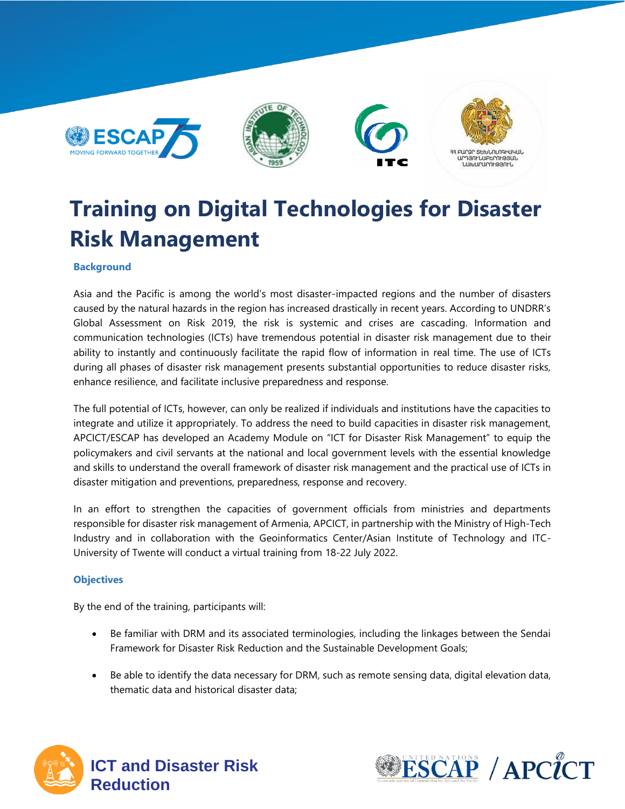

# **Training on Digital Technologies for Disaster Risk Management**

#### **Background**

Asia and the Pacific is among the world's most disaster-impacted regions and the number of disasters caused by the natural hazards in the region has increased drastically in recent years. According to UNDRR's Global Assessment on Risk 2019, the risk is systemic and crises are cascading. Information and communication technologies (ICTs) have tremendous potential in disaster risk management due to their ability to instantly and continuously facilitate the rapid flow of information in real time. The use of ICTs during all phases of disaster risk management presents substantial opportunities to reduce disaster risks, enhance resilience, and facilitate inclusive preparedness and response.

The full potential of ICTs, however, can only be realized if individuals and institutions have the capacities to integrate and utilize it appropriately. To address the need to build capacities in disaster risk management, APCICT/ESCAP has developed an Academy Module on "ICT for Disaster Risk Management" to equip the policymakers and civil servants at the national and local government levels with the essential knowledge and skills to understand the overall framework of disaster risk management and the practical use of ICTs in disaster mitigation and preventions, preparedness, response and recovery.

In an effort to strengthen the capacities of government officials from ministries and departments responsible for disaster risk management of Armenia, APCICT, in partnership with the Ministry of High-Tech Industry and in collaboration with the Geoinformatics Center/Asian Institute of Technology and ITC-University of Twente will conduct a virtual training from 18-22 July 2022.

#### **Objectives**

By the end of the training, participants will:

- Be familiar with DRM and its associated terminologies, including the linkages between the Sendai Framework for Disaster Risk Reduction and the Sustainable Development Goals;
- Be able to identify the data necessary for DRM, such as remote sensing data, digital elevation data, thematic data and historical disaster data;



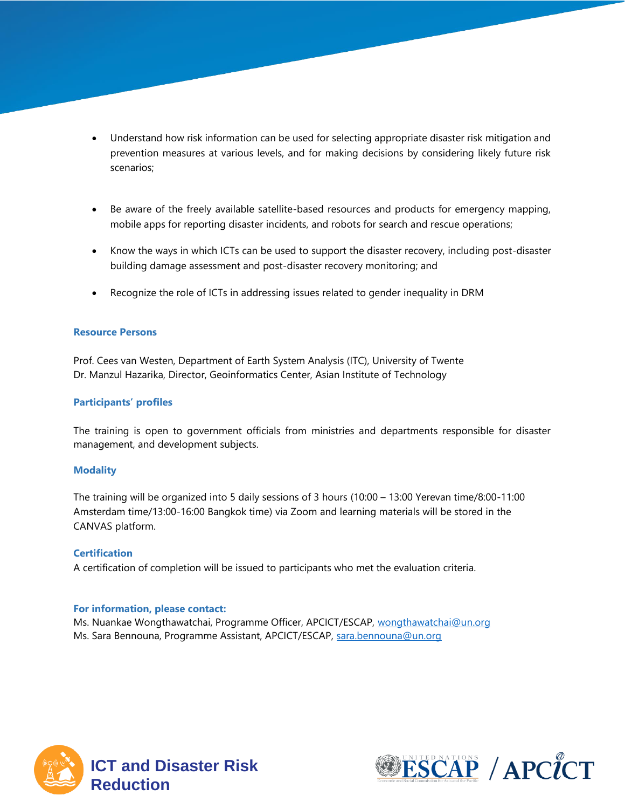- Understand how risk information can be used for selecting appropriate disaster risk mitigation and prevention measures at various levels, and for making decisions by considering likely future risk scenarios;
- Be aware of the freely available satellite-based resources and products for emergency mapping, mobile apps for reporting disaster incidents, and robots for search and rescue operations;
- Know the ways in which ICTs can be used to support the disaster recovery, including post-disaster building damage assessment and post-disaster recovery monitoring; and
- Recognize the role of ICTs in addressing issues related to gender inequality in DRM

#### **Resource Persons**

Prof. Cees van Westen, Department of Earth System Analysis (ITC), University of Twente Dr. Manzul Hazarika, Director, Geoinformatics Center, Asian Institute of Technology

#### **Participants' profiles**

The training is open to government officials from ministries and departments responsible for disaster management, and development subjects.

#### **Modality**

The training will be organized into 5 daily sessions of 3 hours (10:00 – 13:00 Yerevan time/8:00-11:00 Amsterdam time/13:00-16:00 Bangkok time) via Zoom and learning materials will be stored in the CANVAS platform.

#### **Certification**

A certification of completion will be issued to participants who met the evaluation criteria.

#### **For information, please contact:**

Ms. Nuankae Wongthawatchai, Programme Officer, APCICT/ESCAP, [wongthawatchai@un.org](mailto:wongthawatchai@un.org) Ms. Sara Bennouna, Programme Assistant, APCICT/ESCAP, [sara.bennouna@un.org](mailto:sara.bennouna@un.org)



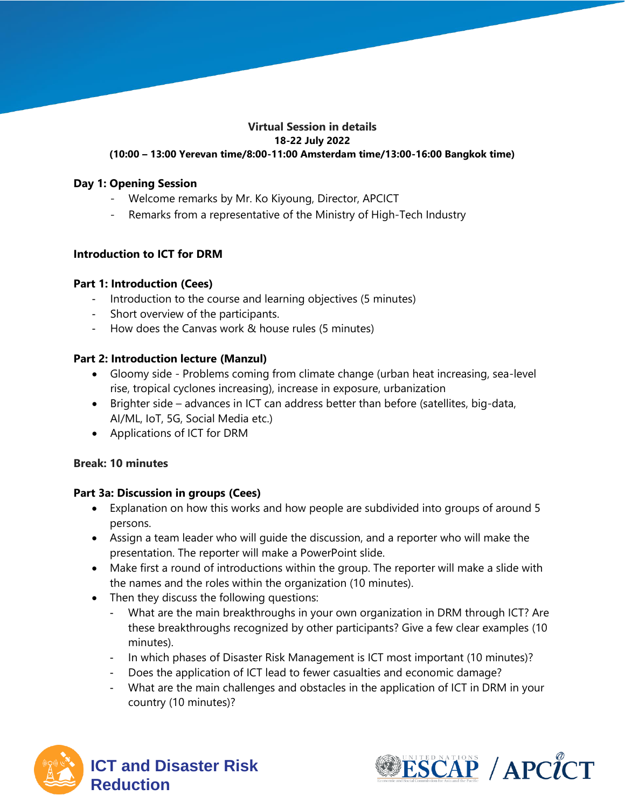#### **Virtual Session in details 18-22 July 2022 (10:00 – 13:00 Yerevan time/8:00-11:00 Amsterdam time/13:00-16:00 Bangkok time)**

#### **Day 1: Opening Session**

- Welcome remarks by Mr. Ko Kiyoung, Director, APCICT
- Remarks from a representative of the Ministry of High-Tech Industry

# **Introduction to ICT for DRM**

# **Part 1: Introduction (Cees)**

- Introduction to the course and learning objectives (5 minutes)
- Short overview of the participants.
- How does the Canvas work & house rules (5 minutes)

# **Part 2: Introduction lecture (Manzul)**

- Gloomy side Problems coming from climate change (urban heat increasing, sea-level rise, tropical cyclones increasing), increase in exposure, urbanization
- Brighter side advances in ICT can address better than before (satellites, big-data, AI/ML, IoT, 5G, Social Media etc.)
- Applications of ICT for DRM

# **Break: 10 minutes**

# **Part 3a: Discussion in groups (Cees)**

- Explanation on how this works and how people are subdivided into groups of around 5 persons.
- Assign a team leader who will guide the discussion, and a reporter who will make the presentation. The reporter will make a PowerPoint slide.
- Make first a round of introductions within the group. The reporter will make a slide with the names and the roles within the organization (10 minutes).
- Then they discuss the following questions:
	- What are the main breakthroughs in your own organization in DRM through ICT? Are these breakthroughs recognized by other participants? Give a few clear examples (10 minutes).
	- In which phases of Disaster Risk Management is ICT most important (10 minutes)?
	- Does the application of ICT lead to fewer casualties and economic damage?
	- What are the main challenges and obstacles in the application of ICT in DRM in your country (10 minutes)?



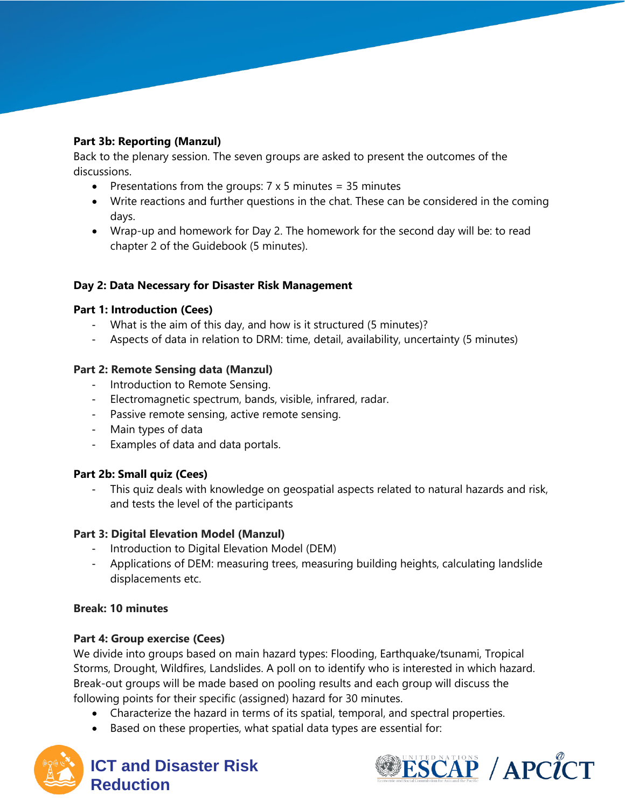# **Part 3b: Reporting (Manzul)**

Back to the plenary session. The seven groups are asked to present the outcomes of the discussions.

- Presentations from the groups:  $7 \times 5$  minutes = 35 minutes
- Write reactions and further questions in the chat. These can be considered in the coming days.
- Wrap-up and homework for Day 2. The homework for the second day will be: to read chapter 2 of the Guidebook (5 minutes).

# **Day 2: Data Necessary for Disaster Risk Management**

# **Part 1: Introduction (Cees)**

- What is the aim of this day, and how is it structured (5 minutes)?
- Aspects of data in relation to DRM: time, detail, availability, uncertainty (5 minutes)

# **Part 2: Remote Sensing data (Manzul)**

- Introduction to Remote Sensing.
- Electromagnetic spectrum, bands, visible, infrared, radar.
- Passive remote sensing, active remote sensing.
- Main types of data
- Examples of data and data portals.

# **Part 2b: Small quiz (Cees)**

This quiz deals with knowledge on geospatial aspects related to natural hazards and risk, and tests the level of the participants

# **Part 3: Digital Elevation Model (Manzul)**

- Introduction to Digital Elevation Model (DEM)
- Applications of DEM: measuring trees, measuring building heights, calculating landslide displacements etc.

# **Break: 10 minutes**

# **Part 4: Group exercise (Cees)**

We divide into groups based on main hazard types: Flooding, Earthquake/tsunami, Tropical Storms, Drought, Wildfires, Landslides. A poll on to identify who is interested in which hazard. Break-out groups will be made based on pooling results and each group will discuss the following points for their specific (assigned) hazard for 30 minutes.

- Characterize the hazard in terms of its spatial, temporal, and spectral properties.
- Based on these properties, what spatial data types are essential for:



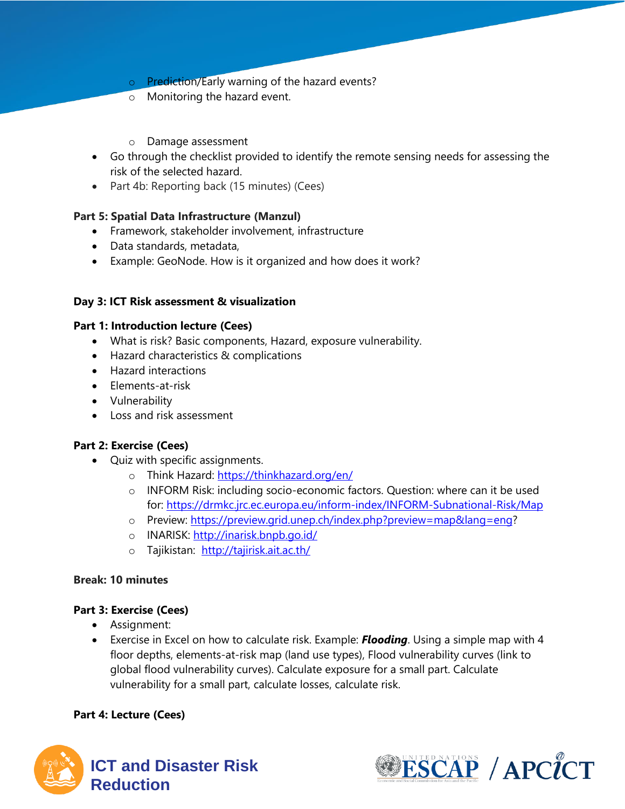- o Prediction/Early warning of the hazard events?
- o Monitoring the hazard event.
- o Damage assessment
- Go through the checklist provided to identify the remote sensing needs for assessing the risk of the selected hazard.
- Part 4b: Reporting back (15 minutes) (Cees)

# **Part 5: Spatial Data Infrastructure (Manzul)**

- Framework, stakeholder involvement, infrastructure
- Data standards, metadata,
- Example: GeoNode. How is it organized and how does it work?

# **Day 3: ICT Risk assessment & visualization**

# **Part 1: Introduction lecture (Cees)**

- What is risk? Basic components, Hazard, exposure vulnerability.
- Hazard characteristics & complications
- Hazard interactions
- Elements-at-risk
- Vulnerability
- Loss and risk assessment

# **Part 2: Exercise (Cees)**

- Quiz with specific assignments.
	- o Think Hazard:<https://thinkhazard.org/en/>
	- o INFORM Risk: including socio-economic factors. Question: where can it be used for:<https://drmkc.jrc.ec.europa.eu/inform-index/INFORM-Subnational-Risk/Map>
	- o Preview: [https://preview.grid.unep.ch/index.php?preview=map&lang=eng?](https://preview.grid.unep.ch/index.php?preview=map&lang=eng)
	- o INARISK:<http://inarisk.bnpb.go.id/>
	- o Tajikistan: <http://tajirisk.ait.ac.th/>

# **Break: 10 minutes**

# **Part 3: Exercise (Cees)**

- Assignment:
- Exercise in Excel on how to calculate risk. Example: *Flooding*. Using a simple map with 4 floor depths, elements-at-risk map (land use types), Flood vulnerability curves (link to global flood vulnerability curves). Calculate exposure for a small part. Calculate vulnerability for a small part, calculate losses, calculate risk.

# **Part 4: Lecture (Cees)**



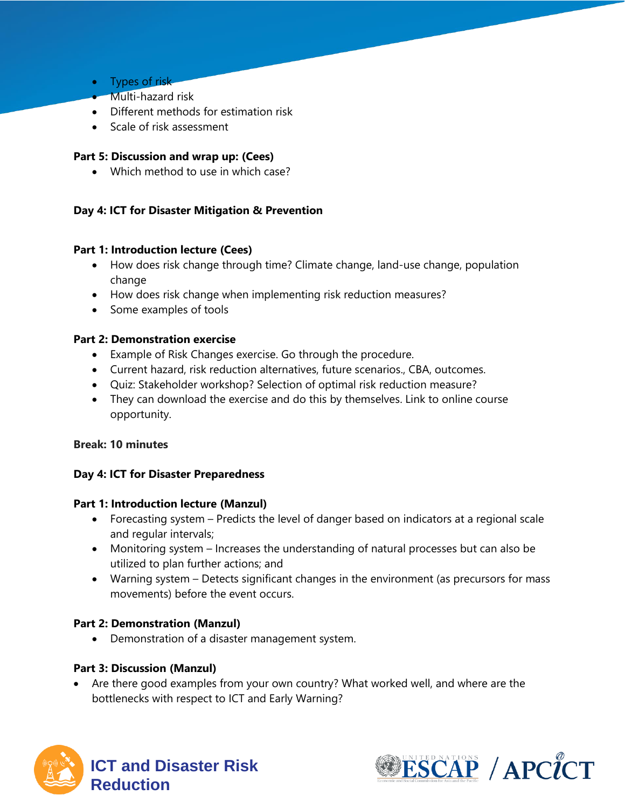- Types of risk
- Multi-hazard risk
- Different methods for estimation risk
- Scale of risk assessment

#### **Part 5: Discussion and wrap up: (Cees)**

• Which method to use in which case?

#### **Day 4: ICT for Disaster Mitigation & Prevention**

#### **Part 1: Introduction lecture (Cees)**

- How does risk change through time? Climate change, land-use change, population change
- How does risk change when implementing risk reduction measures?
- Some examples of tools

#### **Part 2: Demonstration exercise**

- Example of Risk Changes exercise. Go through the procedure.
- Current hazard, risk reduction alternatives, future scenarios., CBA, outcomes.
- Quiz: Stakeholder workshop? Selection of optimal risk reduction measure?
- They can download the exercise and do this by themselves. Link to online course opportunity.

#### **Break: 10 minutes**

#### **Day 4: ICT for Disaster Preparedness**

#### **Part 1: Introduction lecture (Manzul)**

- Forecasting system Predicts the level of danger based on indicators at a regional scale and regular intervals;
- Monitoring system Increases the understanding of natural processes but can also be utilized to plan further actions; and
- Warning system Detects significant changes in the environment (as precursors for mass movements) before the event occurs.

#### **Part 2: Demonstration (Manzul)**

• Demonstration of a disaster management system.

# **Part 3: Discussion (Manzul)**

Are there good examples from your own country? What worked well, and where are the bottlenecks with respect to ICT and Early Warning?